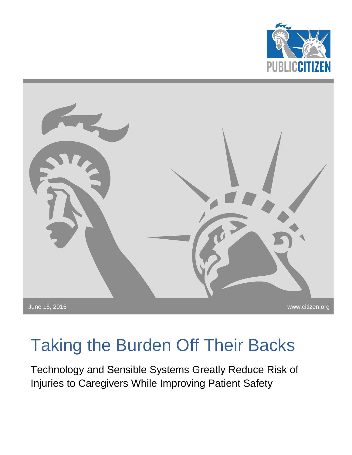



# Taking the Burden Off Their Backs

Technology and Sensible Systems Greatly Reduce Risk of Injuries to Caregivers While Improving Patient Safety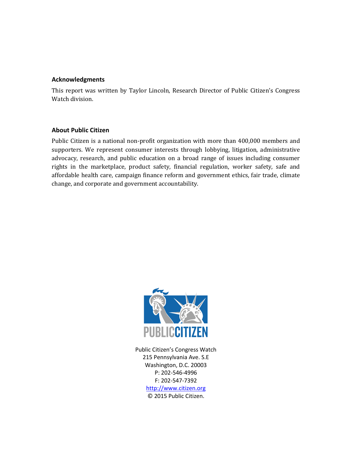#### **Acknowledgments**

This report was written by Taylor Lincoln, Research Director of Public Citizen's Congress Watch division.

#### **About Public Citizen**

Public Citizen is a national non-profit organization with more than 400,000 members and supporters. We represent consumer interests through lobbying, litigation, administrative advocacy, research, and public education on a broad range of issues including consumer rights in the marketplace, product safety, financial regulation, worker safety, safe and affordable health care, campaign finance reform and government ethics, fair trade, climate change, and corporate and government accountability.



Public Citizen's Congress Watch 215 Pennsylvania Ave. S.E Washington, D.C. 20003 P: 202-546-4996 F: 202-547-7392 [http://www.citizen.org](http://www.citizen.org/) © 2015 Public Citizen.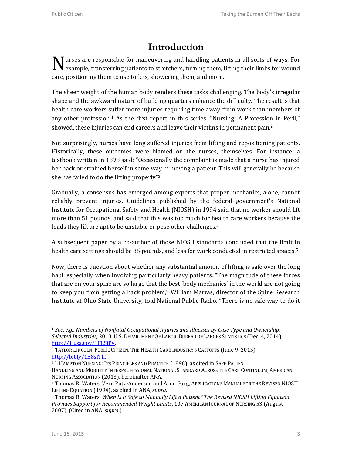## **Introduction**

N urses are responsible for maneuvering and handling patients in all sorts of ways. For example, transferring patients to stretchers, turning them, lifting their limbs for wound example, transferring patients to stretchers, turning them, lifting their limbs for wound care, positioning them to use toilets, showering them, and more.

The sheer weight of the human body renders these tasks challenging. The body's irregular shape and the awkward nature of building quarters enhance the difficulty. The result is that health care workers suffer more injuries requiring time away from work than members of any other profession.<sup>1</sup> As the first report in this series, "Nursing: A Profession in Peril," showed, these injuries can end careers and leave their victims in permanent pain.<sup>2</sup>

Not surprisingly, nurses have long suffered injuries from lifting and repositioning patients. Historically, these outcomes were blamed on the nurses, themselves. For instance, a textbook written in 1898 said: "Occasionally the complaint is made that a nurse has injured her back or strained herself in some way in moving a patient. This will generally be because she has failed to do the lifting properly"<sup>3</sup>

Gradually, a consensus has emerged among experts that proper mechanics, alone, cannot reliably prevent injuries. Guidelines published by the federal government's National Institute for Occupational Safety and Health (NIOSH) in 1994 said that no worker should lift more than 51 pounds, and said that this was too much for health care workers because the loads they lift are apt to be unstable or pose other challenges.<sup>4</sup>

A subsequent paper by a co-author of those NIOSH standards concluded that the limit in health care settings should be 35 pounds, and less for work conducted in restricted spaces.<sup>5</sup>

Now, there is question about whether any substantial amount of lifting is safe over the long haul, especially when involving particularly heavy patients. "The magnitude of these forces that are on your spine are so large that the best 'body mechanics' in the world are not going to keep you from getting a back problem," William Marras, director of the Spine Research Institute at Ohio State University, told National Public Radio. "There is no safe way to do it

 $\overline{\phantom{0}}$ 

<sup>1</sup> *See*, *e.g.*, *Numbers of Nonfatal Occupational Injuries and Illnesses by Case Type and Ownership, Selected Industries*, 2013, U.S. DEPARTMENT OF LABOR, BUREAU OF LABORS STATISTICS (Dec. 4, 2014), [http://1.usa.gov/1FLSfPv.](http://1.usa.gov/1FLSfPv)

<sup>2</sup> TAYLOR LINCOLN, PUBLIC CITIZEN, THE HEALTH CARE INDUSTRY'S CASTOFFS (June 9, 2015), [http://bit.ly/1B8sfTh.](http://bit.ly/1B8sfTh)

<sup>3</sup> I. HAMPTON NURSING: ITS PRINCIPLES AND PRACTICE (1898), as cited in SAFE PATIENT

HANDLING AND MOBILITY INTERPROFESSIONAL NATIONAL STANDARD ACROSS THE CARE CONTINUUM, AMERICAN NURSING ASSOCIATION (2013), hereinafter ANA.

<sup>4</sup> Thomas R. Waters, Vern Putz-Anderson and Arun Garg, APPLICATIONS MANUAL FOR THE REVISED NIOSH LIFTING EQUATION (1994), as cited in ANA,*supra.*

<sup>5</sup> Thomas R. Waters, *When Is It Safe to Manually Lift a Patient? The Revised NIOSH Lifting Equation Provides Support for Recommended Weight Limits*, 107 AMERICAN JOURNAL OF NURSING 53 (August 2007). (Cited in ANA, *supra*.)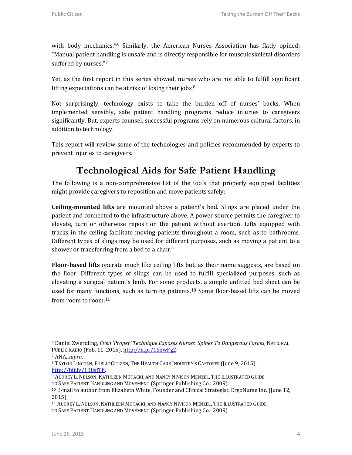with body mechanics.<sup>"6</sup> Similarly, the American Nurses Association has flatly opined: "Manual patient handling is unsafe and is directly responsible for musculoskeletal disorders suffered by nurses."<sup>7</sup>

Yet, as the first report in this series showed, nurses who are not able to fulfill significant lifting expectations can be at risk of losing their jobs.<sup>8</sup>

Not surprisingly, technology exists to take the burden off of nurses' backs. When implemented sensibly, safe patient handling programs reduce injuries to caregivers significantly. But, experts counsel, successful programs rely on numerous cultural factors, in addition to technology.

This report will review some of the technologies and policies recommended by experts to prevent injuries to caregivers.

#### **Technological Aids for Safe Patient Handling**

The following is a non-comprehensive list of the tools that properly equipped facilities might provide caregivers to reposition and move patients safely:

**Ceiling-mounted lifts** are mounted above a patient's bed. Slings are placed under the patient and connected to the infrastructure above. A power source permits the caregiver to elevate, turn or otherwise reposition the patient without exertion. Lifts equipped with tracks in the ceiling facilitate moving patients throughout a room, such as to bathrooms. Different types of slings may be used for different purposes, such as moving a patient to a shower or transferring from a bed to a chair.<sup>9</sup>

**Floor-based lifts** operate much like ceiling lifts but, as their name suggests, are based on the floor. Different types of slings can be used to fulfill specialized purposes, such as elevating a surgical patient's limb. For some products, a simple unfitted bed sheet can be used for many functions, such as turning patients.<sup>10</sup> Some floor-based lifts can be moved from room to room.<sup>11</sup>

l

<sup>6</sup> Daniel Zwerdling, *Even 'Proper' Technique Exposes Nurses' Spines To Dangerous Forces*, NATIONAL PUBLIC RADIO (Feb. 11, 2015)[, http://n.pr/1SbwFg2.](http://n.pr/1SbwFg2)

<sup>7</sup> ANA,*supra*.

<sup>8</sup> TAYLOR LINCOLN, PUBLIC CITIZEN, THE HEALTH CARE INDUSTRY'S CASTOFFS (June 9, 2015), [http://bit.ly/1B8sfTh.](http://bit.ly/1B8sfTh)

<sup>9</sup> AUDREY L.NELSON, KATHLEEN MOTACKI, AND NANCY NIVISON MENZEL, THE ILLUSTRATED GUIDE TO SAFE PATIENT HANDLING AND MOVEMENT (Springer Publishing Co.: 2009).

<sup>&</sup>lt;sup>10</sup> E-mail to author from Elizabeth White, Founder and Clinical Strategist, ErgoNurse Inc. (June 12, 2015).

<sup>11</sup> AUDREY L.NELSON, KATHLEEN MOTACKI, AND NANCY NIVISON MENZEL, THE ILLUSTRATED GUIDE TO SAFE PATIENT HANDLING AND MOVEMENT (Springer Publishing Co.: 2009)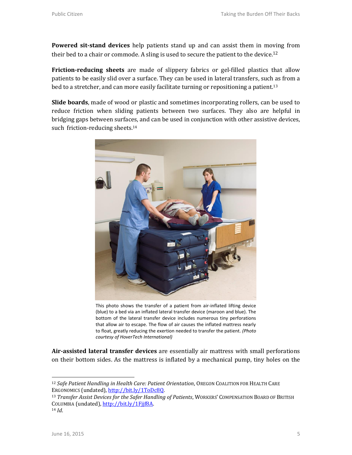**Powered sit-stand devices** help patients stand up and can assist them in moving from their bed to a chair or commode. A sling is used to secure the patient to the device.<sup>12</sup>

**Friction-reducing sheets** are made of slippery fabrics or gel-filled plastics that allow patients to be easily slid over a surface. They can be used in lateral transfers, such as from a bed to a stretcher, and can more easily facilitate turning or repositioning a patient.<sup>13</sup>

**Slide boards**, made of wood or plastic and sometimes incorporating rollers, can be used to reduce friction when sliding patients between two surfaces. They also are helpful in bridging gaps between surfaces, and can be used in conjunction with other assistive devices, such friction-reducing sheets.<sup>14</sup>



This photo shows the transfer of a patient from air-inflated lifting device (blue) to a bed via an inflated lateral transfer device (maroon and blue). The bottom of the lateral transfer device includes numerous tiny perforations that allow air to escape. The flow of air causes the inflated mattress nearly to float, greatly reducing the exertion needed to transfer the patient. *(Photo courtesy of HoverTech International)*

**Air-assisted lateral transfer devices** are essentially air mattress with small perforations on their bottom sides. As the mattress is inflated by a mechanical pump, tiny holes on the

 $\overline{\phantom{0}}$ 

<sup>12</sup> *Safe Patient Handling in Health Care: Patient Orientation*, OREGON COALITION FOR HEALTH CARE ERGONOMICS (undated)[, http://bit.ly/1ToDc8Q.](http://bit.ly/1ToDc8Q)

<sup>13</sup> *Transfer Assist Devices for the Safer Handling of Patients*, WORKERS' COMPENSATION BOARD OF BRITISH COLUMBIA (undated)[, http://bit.ly/1Fjjf8A.](http://bit.ly/1Fjjf8A) <sup>14</sup> *Id*.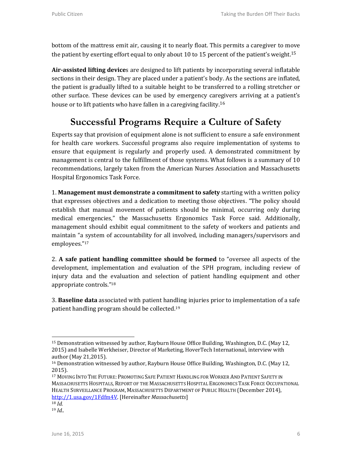bottom of the mattress emit air, causing it to nearly float. This permits a caregiver to move the patient by exerting effort equal to only about 10 to 15 percent of the patient's weight.<sup>15</sup>

**Air-assisted lifting device**s are designed to lift patients by incorporating several inflatable sections in their design. They are placed under a patient's body. As the sections are inflated, the patient is gradually lifted to a suitable height to be transferred to a rolling stretcher or other surface. These devices can be used by emergency caregivers arriving at a patient's house or to lift patients who have fallen in a caregiving facility.<sup>16</sup>

## **Successful Programs Require a Culture of Safety**

Experts say that provision of equipment alone is not sufficient to ensure a safe environment for health care workers. Successful programs also require implementation of systems to ensure that equipment is regularly and properly used. A demonstrated commitment by management is central to the fulfillment of those systems. What follows is a summary of 10 recommendations, largely taken from the American Nurses Association and Massachusetts Hospital Ergonomics Task Force.

1. **Management must demonstrate a commitment to safety** starting with a written policy that expresses objectives and a dedication to meeting those objectives. "The policy should establish that manual movement of patients should be minimal, occurring only during medical emergencies," the Massachusetts Ergonomics Task Force said. Additionally, management should exhibit equal commitment to the safety of workers and patients and maintain "a system of accountability for all involved, including managers/supervisors and employees." 17

2. **A safe patient handling committee should be formed** to "oversee all aspects of the development, implementation and evaluation of the SPH program, including review of injury data and the evaluation and selection of patient handling equipment and other appropriate controls."<sup>18</sup>

3. **Baseline data** associated with patient handling injuries prior to implementation of a safe patient handling program should be collected.<sup>19</sup>

<sup>17</sup> MOVING INTO THE FUTURE: PROMOTING SAFE PATIENT HANDLING FOR WORKER AND PATIENT SAFETY IN MASSACHUSETTS HOSPITALS, REPORT OF THE MASSACHUSETTS HOSPITAL ERGONOMICS TASK FORCE OCCUPATIONAL HEALTH SURVEILLANCE PROGRAM, MASSACHUSETTS DEPARTMENT OF PUBLIC HEALTH (December 2014), [http://1.usa.gov/1Fdfm4V.](http://1.usa.gov/1Fdfm4V) [Hereinafter *Massachusetts*]

l

<sup>15</sup> Demonstration witnessed by author, Rayburn House Office Building, Washington, D.C. (May 12, 2015) and Isabelle Werkheiser, Director of Marketing, HoverTech International, interview with author (May 21,2015).

<sup>&</sup>lt;sup>16</sup> Demonstration witnessed by author, Rayburn House Office Building, Washington, D.C. (May 12, 2015).

<sup>18</sup> *Id.*

<sup>19</sup> *Id.*.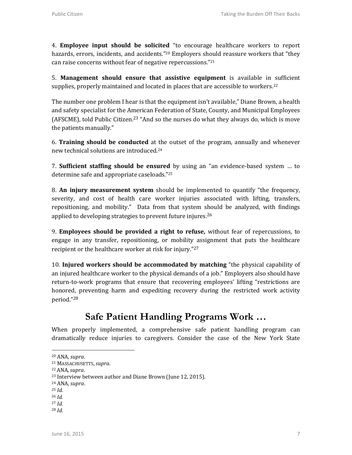4. **Employee input should be solicited** "to encourage healthcare workers to report hazards, errors, incidents, and accidents."<sup>20</sup> Employers should reassure workers that "they can raise concerns without fear of negative repercussions." 21

5. **Management should ensure that assistive equipment** is available in sufficient supplies, properly maintained and located in places that are accessible to workers.<sup>22</sup>

The number one problem I hear is that the equipment isn't available," Diane Brown, a health and safety specialist for the American Federation of State, County, and Municipal Employees (AFSCME), told Public Citizen.<sup>23</sup> "And so the nurses do what they always do, which is move the patients manually."

6. **Training should be conducted** at the outset of the program, annually and whenever new technical solutions are introduced.<sup>24</sup>

7. **Sufficient staffing should be ensured** by using an "an evidence-based system … to determine safe and appropriate caseloads." 25

8. **An injury measurement system** should be implemented to quantify "the frequency, severity, and cost of health care worker injuries associated with lifting, transfers, repositioning, and mobility." Data from that system should be analyzed, with findings applied to developing strategies to prevent future injures.<sup>26</sup>

9. **Employees should be provided a right to refuse,** without fear of repercussions, to engage in any transfer, repositioning, or mobility assignment that puts the healthcare recipient or the healthcare worker at risk for injury."<sup>27</sup>

10. **Injured workers should be accommodated by matching** "the physical capability of an injured healthcare worker to the physical demands of a job." Employers also should have return-to-work programs that ensure that recovering employees' lifting "restrictions are honored, preventing harm and expediting recovery during the restricted work activity period." 28

## **Safe Patient Handling Programs Work …**

When properly implemented, a comprehensive safe patient handling program can dramatically reduce injuries to caregivers. Consider the case of the New York State

<sup>25</sup> *Id.*

 $\overline{\phantom{0}}$ 

- <sup>27</sup> *Id.*
- <sup>28</sup> *Id.*

<sup>20</sup> ANA*,supra*.

<sup>21</sup> MASSACHUSETTS,*supra*.

<sup>22</sup> ANA*,supra*.

<sup>23</sup> Interview between author and Diane Brown (June 12, 2015).

<sup>24</sup> ANA*,supra*.

<sup>26</sup> *Id.*